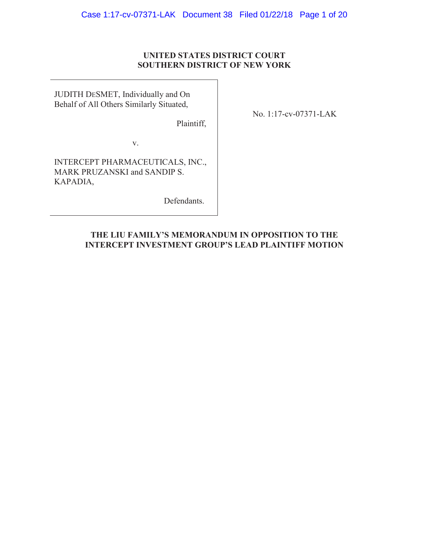# **UNITED STATES DISTRICT COURT SOUTHERN DISTRICT OF NEW YORK**

JUDITH DESMET, Individually and On Behalf of All Others Similarly Situated,

Plaintiff,

No. 1:17-cv-07371-LAK

v.

INTERCEPT PHARMACEUTICALS, INC., MARK PRUZANSKI and SANDIP S. KAPADIA,

Defendants.

# **THE LIU FAMILY'S MEMORANDUM IN OPPOSITION TO THE INTERCEPT INVESTMENT GROUP'S LEAD PLAINTIFF MOTION**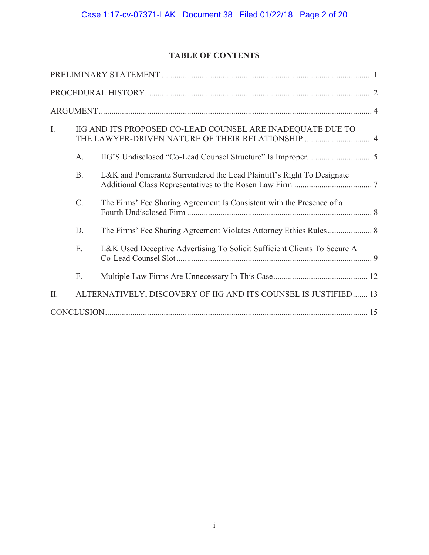# **TABLE OF CONTENTS**

| I.  | IIG AND ITS PROPOSED CO-LEAD COUNSEL ARE INADEQUATE DUE TO<br>THE LAWYER-DRIVEN NATURE OF THEIR RELATIONSHIP  4 |                                                                          |  |
|-----|-----------------------------------------------------------------------------------------------------------------|--------------------------------------------------------------------------|--|
|     | A.                                                                                                              |                                                                          |  |
|     | <b>B.</b>                                                                                                       | L&K and Pomerantz Surrendered the Lead Plaintiff's Right To Designate    |  |
|     | C.                                                                                                              | The Firms' Fee Sharing Agreement Is Consistent with the Presence of a    |  |
|     | D.                                                                                                              |                                                                          |  |
|     | E.                                                                                                              | L&K Used Deceptive Advertising To Solicit Sufficient Clients To Secure A |  |
|     | F.                                                                                                              |                                                                          |  |
| II. |                                                                                                                 | ALTERNATIVELY, DISCOVERY OF IIG AND ITS COUNSEL IS JUSTIFIED 13          |  |
|     |                                                                                                                 |                                                                          |  |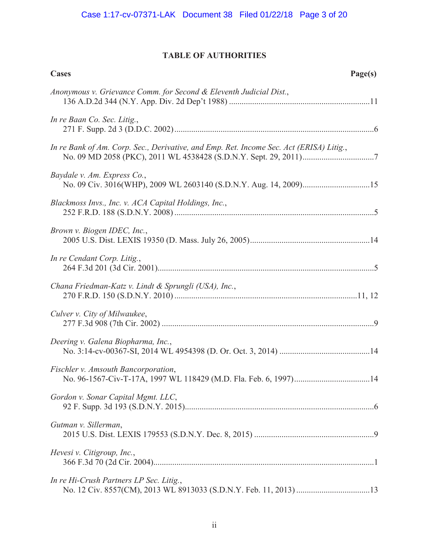# **TABLE OF AUTHORITIES**

| <b>Cases</b><br>Page(s)                                                                 |
|-----------------------------------------------------------------------------------------|
| Anonymous v. Grievance Comm. for Second & Eleventh Judicial Dist.,                      |
| In re Baan Co. Sec. Litig.,                                                             |
| In re Bank of Am. Corp. Sec., Derivative, and Emp. Ret. Income Sec. Act (ERISA) Litig., |
| Baydale v. Am. Express Co.,                                                             |
| Blackmoss Invs., Inc. v. ACA Capital Holdings, Inc.,                                    |
| Brown v. Biogen IDEC, Inc.,                                                             |
| In re Cendant Corp. Litig.,                                                             |
| Chana Friedman-Katz v. Lindt & Sprungli (USA), Inc.,                                    |
| Culver v. City of Milwaukee,                                                            |
| Deering v. Galena Biopharma, Inc.,                                                      |
| Fischler v. Amsouth Bancorporation,                                                     |
| Gordon v. Sonar Capital Mgmt. LLC,                                                      |
| Gutman v. Sillerman,                                                                    |
| Hevesi v. Citigroup, Inc.,                                                              |
| In re Hi-Crush Partners LP Sec. Litig.,                                                 |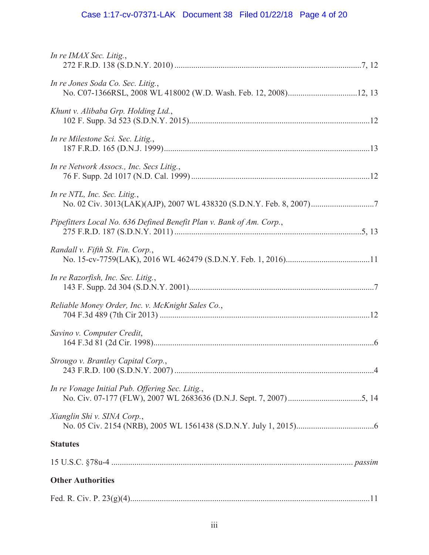# Case 1:17-cv-07371-LAK Document 38 Filed 01/22/18 Page 4 of 20

| In re IMAX Sec. Litig.,                                              |  |  |  |
|----------------------------------------------------------------------|--|--|--|
| In re Jones Soda Co. Sec. Litig.,                                    |  |  |  |
| Khunt v. Alibaba Grp. Holding Ltd.,                                  |  |  |  |
| In re Milestone Sci. Sec. Litig.,                                    |  |  |  |
| In re Network Assocs., Inc. Secs Litig.,                             |  |  |  |
| In re NTL, Inc. Sec. Litig.,                                         |  |  |  |
| Pipefitters Local No. 636 Defined Benefit Plan v. Bank of Am. Corp., |  |  |  |
| Randall v. Fifth St. Fin. Corp.,                                     |  |  |  |
| In re Razorfish, Inc. Sec. Litig.,                                   |  |  |  |
| Reliable Money Order, Inc. v. McKnight Sales Co.,                    |  |  |  |
| Savino v. Computer Credit,                                           |  |  |  |
| Strougo v. Brantley Capital Corp.,                                   |  |  |  |
| In re Vonage Initial Pub. Offering Sec. Litig.,                      |  |  |  |
| Xianglin Shi v. SINA Corp.,                                          |  |  |  |
| <b>Statutes</b>                                                      |  |  |  |
|                                                                      |  |  |  |
| <b>Other Authorities</b>                                             |  |  |  |
|                                                                      |  |  |  |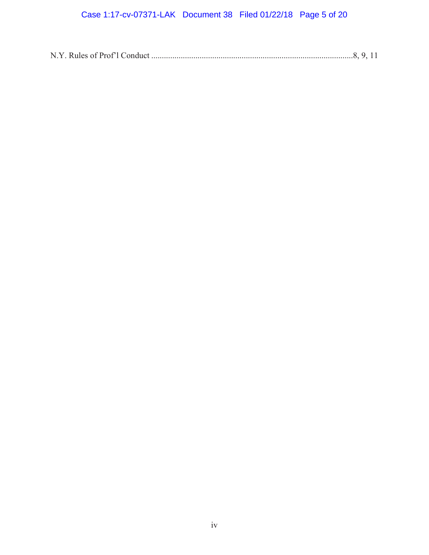# Case 1:17-cv-07371-LAK Document 38 Filed 01/22/18 Page 5 of 20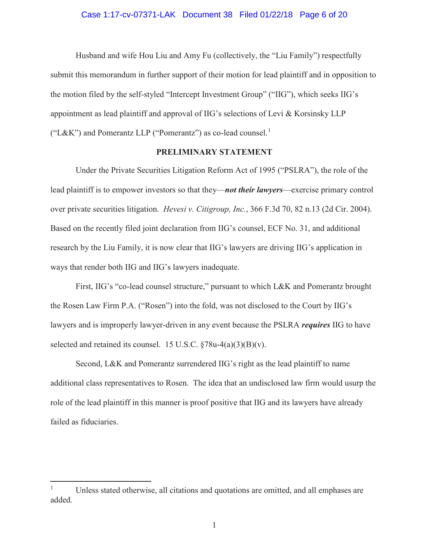### Case 1:17-cv-07371-LAK Document 38 Filed 01/22/18 Page 6 of 20

Husband and wife Hou Liu and Amy Fu (collectively, the "Liu Family") respectfully submit this memorandum in further support of their motion for lead plaintiff and in opposition to the motion filed by the self-styled "Intercept Investment Group" ("IIG"), which seeks IIG's appointment as lead plaintiff and approval of IIG's selections of Levi & Korsinsky LLP ("L&K") and Pomerantz LLP ("Pomerantz") as co-lead counsel.<sup>1</sup>

# **PRELIMINARY STATEMENT**

Under the Private Securities Litigation Reform Act of 1995 ("PSLRA"), the role of the lead plaintiff is to empower investors so that they—*not their lawyers*—exercise primary control over private securities litigation. *Hevesi v. Citigroup, Inc.*, 366 F.3d 70, 82 n.13 (2d Cir. 2004). Based on the recently filed joint declaration from IIG's counsel, ECF No. 31, and additional research by the Liu Family, it is now clear that IIG's lawyers are driving IIG's application in ways that render both IIG and IIG's lawyers inadequate.

First, IIG's "co-lead counsel structure," pursuant to which L&K and Pomerantz brought the Rosen Law Firm P.A. ("Rosen") into the fold, was not disclosed to the Court by IIG's lawyers and is improperly lawyer-driven in any event because the PSLRA *requires* IIG to have selected and retained its counsel. 15 U.S.C. §78u-4(a)(3)(B)(v).

Second, L&K and Pomerantz surrendered IIG's right as the lead plaintiff to name additional class representatives to Rosen. The idea that an undisclosed law firm would usurp the role of the lead plaintiff in this manner is proof positive that IIG and its lawyers have already failed as fiduciaries.

<sup>&</sup>lt;sup>1</sup> Unless stated otherwise, all citations and quotations are omitted, and all emphases are added.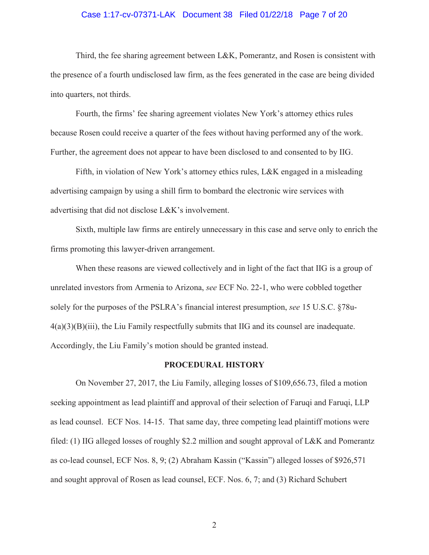## Case 1:17-cv-07371-LAK Document 38 Filed 01/22/18 Page 7 of 20

Third, the fee sharing agreement between L&K, Pomerantz, and Rosen is consistent with the presence of a fourth undisclosed law firm, as the fees generated in the case are being divided into quarters, not thirds.

Fourth, the firms' fee sharing agreement violates New York's attorney ethics rules because Rosen could receive a quarter of the fees without having performed any of the work. Further, the agreement does not appear to have been disclosed to and consented to by IIG.

Fifth, in violation of New York's attorney ethics rules, L&K engaged in a misleading advertising campaign by using a shill firm to bombard the electronic wire services with advertising that did not disclose L&K's involvement.

Sixth, multiple law firms are entirely unnecessary in this case and serve only to enrich the firms promoting this lawyer-driven arrangement.

When these reasons are viewed collectively and in light of the fact that IIG is a group of unrelated investors from Armenia to Arizona, *see* ECF No. 22-1, who were cobbled together solely for the purposes of the PSLRA's financial interest presumption, *see* 15 U.S.C. §78u- $4(a)(3)(B)(iii)$ , the Liu Family respectfully submits that IIG and its counsel are inadequate. Accordingly, the Liu Family's motion should be granted instead.

#### **PROCEDURAL HISTORY**

On November 27, 2017, the Liu Family, alleging losses of \$109,656.73, filed a motion seeking appointment as lead plaintiff and approval of their selection of Faruqi and Faruqi, LLP as lead counsel. ECF Nos. 14-15. That same day, three competing lead plaintiff motions were filed: (1) IIG alleged losses of roughly \$2.2 million and sought approval of L&K and Pomerantz as co-lead counsel, ECF Nos. 8, 9; (2) Abraham Kassin ("Kassin") alleged losses of \$926,571 and sought approval of Rosen as lead counsel, ECF. Nos. 6, 7; and (3) Richard Schubert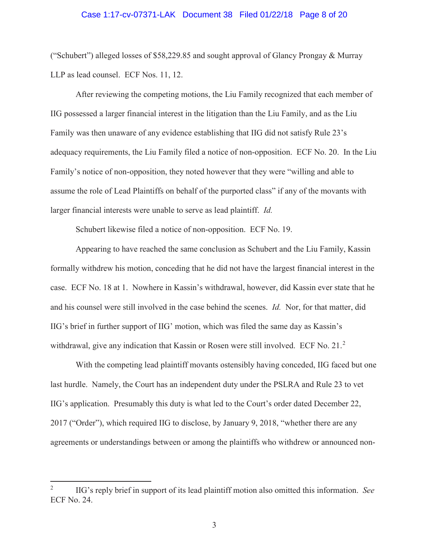### Case 1:17-cv-07371-LAK Document 38 Filed 01/22/18 Page 8 of 20

("Schubert") alleged losses of \$58,229.85 and sought approval of Glancy Prongay & Murray LLP as lead counsel. ECF Nos. 11, 12.

After reviewing the competing motions, the Liu Family recognized that each member of IIG possessed a larger financial interest in the litigation than the Liu Family, and as the Liu Family was then unaware of any evidence establishing that IIG did not satisfy Rule 23's adequacy requirements, the Liu Family filed a notice of non-opposition. ECF No. 20. In the Liu Family's notice of non-opposition, they noted however that they were "willing and able to assume the role of Lead Plaintiffs on behalf of the purported class" if any of the movants with larger financial interests were unable to serve as lead plaintiff. *Id.*

Schubert likewise filed a notice of non-opposition. ECF No. 19.

Appearing to have reached the same conclusion as Schubert and the Liu Family, Kassin formally withdrew his motion, conceding that he did not have the largest financial interest in the case. ECF No. 18 at 1. Nowhere in Kassin's withdrawal, however, did Kassin ever state that he and his counsel were still involved in the case behind the scenes. *Id.* Nor, for that matter, did IIG's brief in further support of IIG' motion, which was filed the same day as Kassin's withdrawal, give any indication that Kassin or Rosen were still involved. ECF No. 21.<sup>2</sup>

With the competing lead plaintiff movants ostensibly having conceded, IIG faced but one last hurdle. Namely, the Court has an independent duty under the PSLRA and Rule 23 to vet IIG's application. Presumably this duty is what led to the Court's order dated December 22, 2017 ("Order"), which required IIG to disclose, by January 9, 2018, "whether there are any agreements or understandings between or among the plaintiffs who withdrew or announced non-

<sup>2</sup> IIG's reply brief in support of its lead plaintiff motion also omitted this information. *See* ECF No. 24.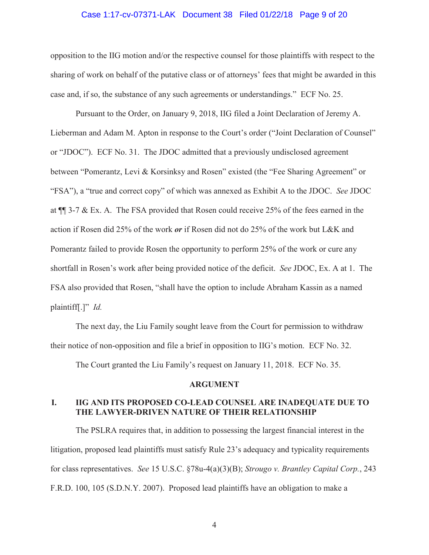### Case 1:17-cv-07371-LAK Document 38 Filed 01/22/18 Page 9 of 20

opposition to the IIG motion and/or the respective counsel for those plaintiffs with respect to the sharing of work on behalf of the putative class or of attorneys' fees that might be awarded in this case and, if so, the substance of any such agreements or understandings." ECF No. 25.

Pursuant to the Order, on January 9, 2018, IIG filed a Joint Declaration of Jeremy A. Lieberman and Adam M. Apton in response to the Court's order ("Joint Declaration of Counsel" or "JDOC"). ECF No. 31. The JDOC admitted that a previously undisclosed agreement between "Pomerantz, Levi & Korsinksy and Rosen" existed (the "Fee Sharing Agreement" or "FSA"), a "true and correct copy" of which was annexed as Exhibit A to the JDOC. *See* JDOC at ¶¶ 3-7 & Ex. A. The FSA provided that Rosen could receive 25% of the fees earned in the action if Rosen did 25% of the work *or* if Rosen did not do 25% of the work but L&K and Pomerantz failed to provide Rosen the opportunity to perform 25% of the work or cure any shortfall in Rosen's work after being provided notice of the deficit. *See* JDOC, Ex. A at 1. The FSA also provided that Rosen, "shall have the option to include Abraham Kassin as a named plaintiff[.]" *Id.*

The next day, the Liu Family sought leave from the Court for permission to withdraw their notice of non-opposition and file a brief in opposition to IIG's motion. ECF No. 32.

The Court granted the Liu Family's request on January 11, 2018. ECF No. 35.

#### **ARGUMENT**

# **I. IIG AND ITS PROPOSED CO-LEAD COUNSEL ARE INADEQUATE DUE TO THE LAWYER-DRIVEN NATURE OF THEIR RELATIONSHIP**

The PSLRA requires that, in addition to possessing the largest financial interest in the litigation, proposed lead plaintiffs must satisfy Rule 23's adequacy and typicality requirements for class representatives. *See* 15 U.S.C. §78u-4(a)(3)(B); *Strougo v. Brantley Capital Corp.*, 243 F.R.D. 100, 105 (S.D.N.Y. 2007). Proposed lead plaintiffs have an obligation to make a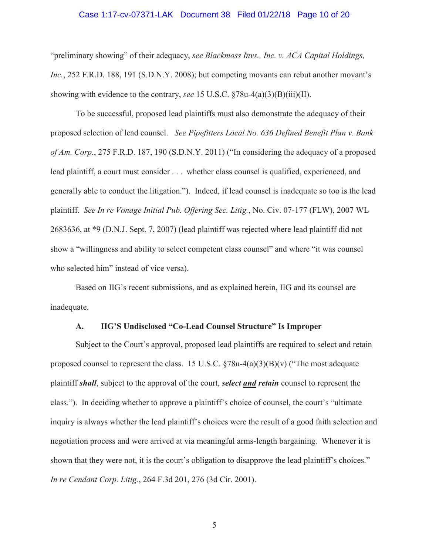### Case 1:17-cv-07371-LAK Document 38 Filed 01/22/18 Page 10 of 20

"preliminary showing" of their adequacy, *see Blackmoss Invs., Inc. v. ACA Capital Holdings, Inc.*, 252 F.R.D. 188, 191 (S.D.N.Y. 2008); but competing movants can rebut another movant's showing with evidence to the contrary, *see* 15 U.S.C. §78u-4(a)(3)(B)(iii)(II).

To be successful, proposed lead plaintiffs must also demonstrate the adequacy of their proposed selection of lead counsel. *See Pipefitters Local No. 636 Defined Benefit Plan v. Bank of Am. Corp.*, 275 F.R.D. 187, 190 (S.D.N.Y. 2011) ("In considering the adequacy of a proposed lead plaintiff, a court must consider . . . whether class counsel is qualified, experienced, and generally able to conduct the litigation."). Indeed, if lead counsel is inadequate so too is the lead plaintiff. *See In re Vonage Initial Pub. Offering Sec. Litig.*, No. Civ. 07-177 (FLW), 2007 WL 2683636, at \*9 (D.N.J. Sept. 7, 2007) (lead plaintiff was rejected where lead plaintiff did not show a "willingness and ability to select competent class counsel" and where "it was counsel who selected him" instead of vice versa).

Based on IIG's recent submissions, and as explained herein, IIG and its counsel are inadequate.

# **A. IIG'S Undisclosed "Co-Lead Counsel Structure" Is Improper**

Subject to the Court's approval, proposed lead plaintiffs are required to select and retain proposed counsel to represent the class. 15 U.S.C.  $\S78u-4(a)(3)(B)(v)$  ("The most adequate plaintiff *shall*, subject to the approval of the court, *select and retain* counsel to represent the class."). In deciding whether to approve a plaintiff's choice of counsel, the court's "ultimate inquiry is always whether the lead plaintiff's choices were the result of a good faith selection and negotiation process and were arrived at via meaningful arms-length bargaining. Whenever it is shown that they were not, it is the court's obligation to disapprove the lead plaintiff's choices." *In re Cendant Corp. Litig.*, 264 F.3d 201, 276 (3d Cir. 2001).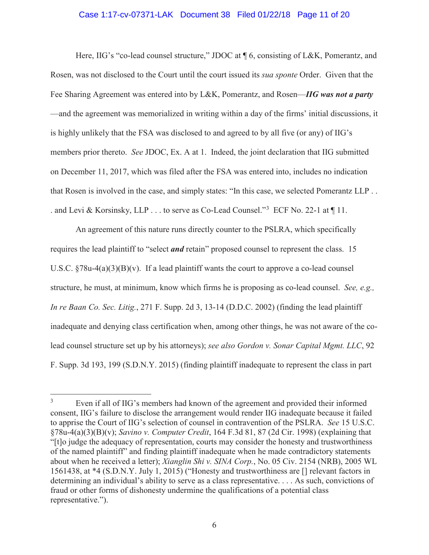## Case 1:17-cv-07371-LAK Document 38 Filed 01/22/18 Page 11 of 20

Here, IIG's "co-lead counsel structure," JDOC at  $\P$  6, consisting of L&K, Pomerantz, and Rosen, was not disclosed to the Court until the court issued its *sua sponte* Order. Given that the Fee Sharing Agreement was entered into by L&K, Pomerantz, and Rosen—*IIG was not a party* —and the agreement was memorialized in writing within a day of the firms' initial discussions, it is highly unlikely that the FSA was disclosed to and agreed to by all five (or any) of IIG's members prior thereto. *See* JDOC, Ex. A at 1. Indeed, the joint declaration that IIG submitted on December 11, 2017, which was filed after the FSA was entered into, includes no indication that Rosen is involved in the case, and simply states: "In this case, we selected Pomerantz LLP . . . and Levi & Korsinsky, LLP . . . to serve as Co-Lead Counsel."<sup>3</sup> ECF No. 22-1 at ¶ 11.

An agreement of this nature runs directly counter to the PSLRA, which specifically requires the lead plaintiff to "select *and* retain" proposed counsel to represent the class. 15 U.S.C.  $\S 78u-4(a)(3)(B)(v)$ . If a lead plaintiff wants the court to approve a co-lead counsel structure, he must, at minimum, know which firms he is proposing as co-lead counsel. *See, e.g., In re Baan Co. Sec. Litig.*, 271 F. Supp. 2d 3, 13-14 (D.D.C. 2002) (finding the lead plaintiff inadequate and denying class certification when, among other things, he was not aware of the colead counsel structure set up by his attorneys); *see also Gordon v. Sonar Capital Mgmt. LLC*, 92 F. Supp. 3d 193, 199 (S.D.N.Y. 2015) (finding plaintiff inadequate to represent the class in part

<sup>3</sup> Even if all of IIG's members had known of the agreement and provided their informed consent, IIG's failure to disclose the arrangement would render IIG inadequate because it failed to apprise the Court of IIG's selection of counsel in contravention of the PSLRA. *See* 15 U.S.C. §78u-4(a)(3)(B)(v); *Savino v. Computer Credit*, 164 F.3d 81, 87 (2d Cir. 1998) (explaining that "[t]o judge the adequacy of representation, courts may consider the honesty and trustworthiness of the named plaintiff" and finding plaintiff inadequate when he made contradictory statements about when he received a letter); *Xianglin Shi v. SINA Corp.*, No. 05 Civ. 2154 (NRB), 2005 WL 1561438, at \*4 (S.D.N.Y. July 1, 2015) ("Honesty and trustworthiness are [] relevant factors in determining an individual's ability to serve as a class representative. . . . As such, convictions of fraud or other forms of dishonesty undermine the qualifications of a potential class representative.").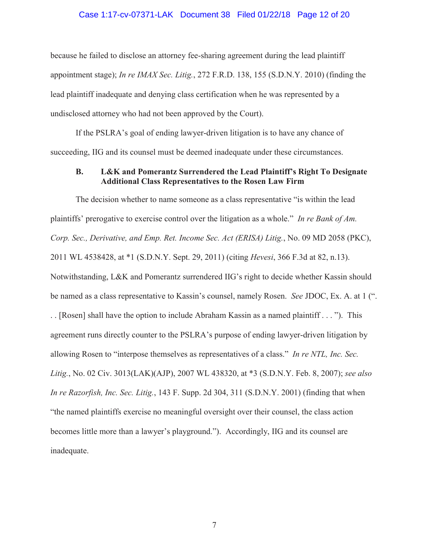# Case 1:17-cv-07371-LAK Document 38 Filed 01/22/18 Page 12 of 20

because he failed to disclose an attorney fee-sharing agreement during the lead plaintiff appointment stage); *In re IMAX Sec. Litig.*, 272 F.R.D. 138, 155 (S.D.N.Y. 2010) (finding the lead plaintiff inadequate and denying class certification when he was represented by a undisclosed attorney who had not been approved by the Court).

If the PSLRA's goal of ending lawyer-driven litigation is to have any chance of succeeding, IIG and its counsel must be deemed inadequate under these circumstances.

# **B. L&K and Pomerantz Surrendered the Lead Plaintiff's Right To Designate Additional Class Representatives to the Rosen Law Firm**

The decision whether to name someone as a class representative "is within the lead plaintiffs' prerogative to exercise control over the litigation as a whole." *In re Bank of Am. Corp. Sec., Derivative, and Emp. Ret. Income Sec. Act (ERISA) Litig.*, No. 09 MD 2058 (PKC), 2011 WL 4538428, at \*1 (S.D.N.Y. Sept. 29, 2011) (citing *Hevesi*, 366 F.3d at 82, n.13). Notwithstanding, L&K and Pomerantz surrendered IIG's right to decide whether Kassin should be named as a class representative to Kassin's counsel, namely Rosen. *See* JDOC, Ex. A. at 1 (". . . [Rosen] shall have the option to include Abraham Kassin as a named plaintiff . . . "). This agreement runs directly counter to the PSLRA's purpose of ending lawyer-driven litigation by allowing Rosen to "interpose themselves as representatives of a class." *In re NTL, Inc. Sec. Litig.*, No. 02 Civ. 3013(LAK)(AJP), 2007 WL 438320, at \*3 (S.D.N.Y. Feb. 8, 2007); *see also In re Razorfish, Inc. Sec. Litig.*, 143 F. Supp. 2d 304, 311 (S.D.N.Y. 2001) (finding that when "the named plaintiffs exercise no meaningful oversight over their counsel, the class action becomes little more than a lawyer's playground."). Accordingly, IIG and its counsel are inadequate.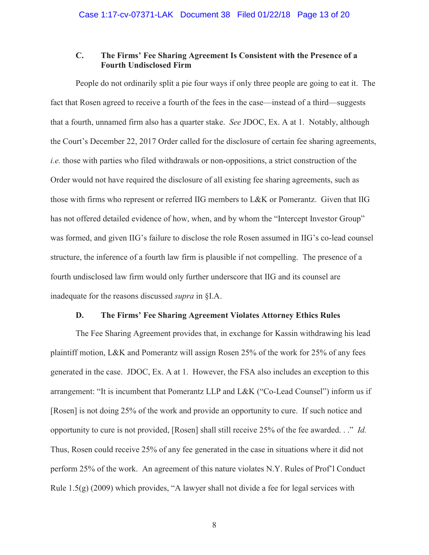# **C. The Firms' Fee Sharing Agreement Is Consistent with the Presence of a Fourth Undisclosed Firm**

People do not ordinarily split a pie four ways if only three people are going to eat it. The fact that Rosen agreed to receive a fourth of the fees in the case—instead of a third—suggests that a fourth, unnamed firm also has a quarter stake. *See* JDOC, Ex. A at 1. Notably, although the Court's December 22, 2017 Order called for the disclosure of certain fee sharing agreements, *i.e.* those with parties who filed withdrawals or non-oppositions, a strict construction of the Order would not have required the disclosure of all existing fee sharing agreements, such as those with firms who represent or referred IIG members to L&K or Pomerantz. Given that IIG has not offered detailed evidence of how, when, and by whom the "Intercept Investor Group" was formed, and given IIG's failure to disclose the role Rosen assumed in IIG's co-lead counsel structure, the inference of a fourth law firm is plausible if not compelling. The presence of a fourth undisclosed law firm would only further underscore that IIG and its counsel are inadequate for the reasons discussed *supra* in §I.A.

#### **D. The Firms' Fee Sharing Agreement Violates Attorney Ethics Rules**

The Fee Sharing Agreement provides that, in exchange for Kassin withdrawing his lead plaintiff motion, L&K and Pomerantz will assign Rosen 25% of the work for 25% of any fees generated in the case. JDOC, Ex. A at 1. However, the FSA also includes an exception to this arrangement: "It is incumbent that Pomerantz LLP and L&K ("Co-Lead Counsel") inform us if [Rosen] is not doing 25% of the work and provide an opportunity to cure. If such notice and opportunity to cure is not provided, [Rosen] shall still receive 25% of the fee awarded. . ." *Id.* Thus, Rosen could receive 25% of any fee generated in the case in situations where it did not perform 25% of the work. An agreement of this nature violates N.Y. Rules of Prof'l Conduct Rule 1.5(g) (2009) which provides, "A lawyer shall not divide a fee for legal services with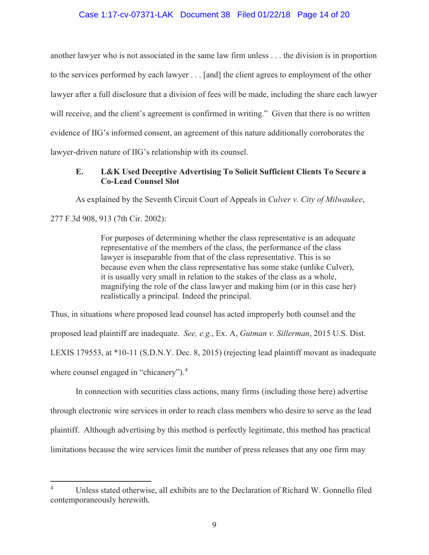# Case 1:17-cv-07371-LAK Document 38 Filed 01/22/18 Page 14 of 20

another lawyer who is not associated in the same law firm unless . . . the division is in proportion to the services performed by each lawyer . . . [and] the client agrees to employment of the other lawyer after a full disclosure that a division of fees will be made, including the share each lawyer will receive, and the client's agreement is confirmed in writing." Given that there is no written evidence of IIG's informed consent, an agreement of this nature additionally corroborates the lawyer-driven nature of IIG's relationship with its counsel.

# **E. L&K Used Deceptive Advertising To Solicit Sufficient Clients To Secure a Co-Lead Counsel Slot**

As explained by the Seventh Circuit Court of Appeals in *Culver v. City of Milwaukee*,

277 F.3d 908, 913 (7th Cir. 2002):

For purposes of determining whether the class representative is an adequate representative of the members of the class, the performance of the class lawyer is inseparable from that of the class representative. This is so because even when the class representative has some stake (unlike Culver), it is usually very small in relation to the stakes of the class as a whole, magnifying the role of the class lawyer and making him (or in this case her) realistically a principal. Indeed the principal.

Thus, in situations where proposed lead counsel has acted improperly both counsel and the proposed lead plaintiff are inadequate. *See, e.g.*, Ex. A, *Gutman v. Sillerman*, 2015 U.S. Dist. LEXIS 179553, at \*10-11 (S.D.N.Y. Dec. 8, 2015) (rejecting lead plaintiff movant as inadequate where counsel engaged in "chicanery").<sup>4</sup>

In connection with securities class actions, many firms (including those here) advertise through electronic wire services in order to reach class members who desire to serve as the lead plaintiff. Although advertising by this method is perfectly legitimate, this method has practical limitations because the wire services limit the number of press releases that any one firm may

<sup>4</sup> Unless stated otherwise, all exhibits are to the Declaration of Richard W. Gonnello filed contemporaneously herewith.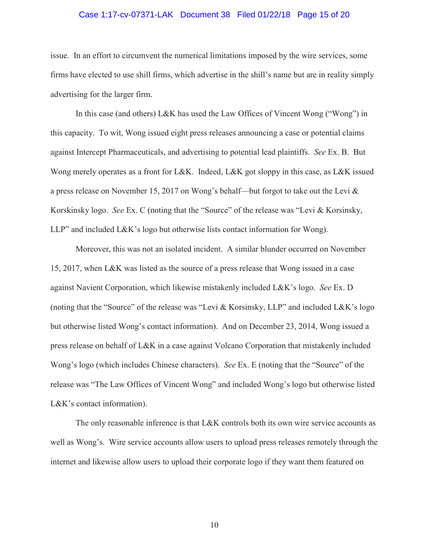## Case 1:17-cv-07371-LAK Document 38 Filed 01/22/18 Page 15 of 20

issue. In an effort to circumvent the numerical limitations imposed by the wire services, some firms have elected to use shill firms, which advertise in the shill's name but are in reality simply advertising for the larger firm.

In this case (and others) L&K has used the Law Offices of Vincent Wong ("Wong") in this capacity. To wit, Wong issued eight press releases announcing a case or potential claims against Intercept Pharmaceuticals, and advertising to potential lead plaintiffs. *See* Ex. B. But Wong merely operates as a front for L&K. Indeed, L&K got sloppy in this case, as L&K issued a press release on November 15, 2017 on Wong's behalf—but forgot to take out the Levi & Korskinsky logo. *See* Ex. C (noting that the "Source" of the release was "Levi & Korsinsky, LLP" and included L&K's logo but otherwise lists contact information for Wong).

Moreover, this was not an isolated incident. A similar blunder occurred on November 15, 2017, when L&K was listed as the source of a press release that Wong issued in a case against Navient Corporation, which likewise mistakenly included L&K's logo. *See* Ex. D (noting that the "Source" of the release was "Levi & Korsinsky, LLP" and included L&K's logo but otherwise listed Wong's contact information). And on December 23, 2014, Wong issued a press release on behalf of L&K in a case against Volcano Corporation that mistakenly included Wong's logo (which includes Chinese characters). *See* Ex. E (noting that the "Source" of the release was "The Law Offices of Vincent Wong" and included Wong's logo but otherwise listed L&K's contact information).

The only reasonable inference is that L&K controls both its own wire service accounts as well as Wong's. Wire service accounts allow users to upload press releases remotely through the internet and likewise allow users to upload their corporate logo if they want them featured on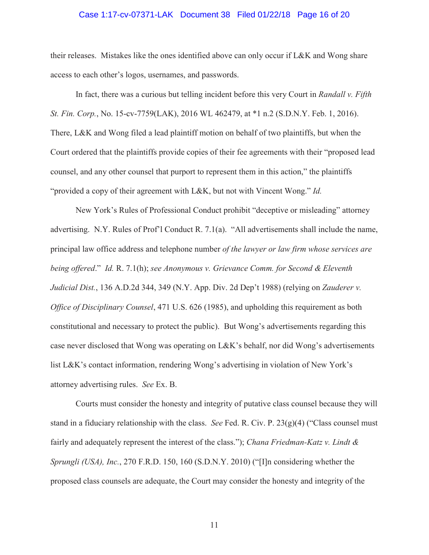### Case 1:17-cv-07371-LAK Document 38 Filed 01/22/18 Page 16 of 20

their releases. Mistakes like the ones identified above can only occur if L&K and Wong share access to each other's logos, usernames, and passwords.

In fact, there was a curious but telling incident before this very Court in *Randall v. Fifth St. Fin. Corp.*, No. 15-cv-7759(LAK), 2016 WL 462479, at \*1 n.2 (S.D.N.Y. Feb. 1, 2016). There, L&K and Wong filed a lead plaintiff motion on behalf of two plaintiffs, but when the Court ordered that the plaintiffs provide copies of their fee agreements with their "proposed lead counsel, and any other counsel that purport to represent them in this action," the plaintiffs "provided a copy of their agreement with L&K, but not with Vincent Wong." *Id.*

New York's Rules of Professional Conduct prohibit "deceptive or misleading" attorney advertising. N.Y. Rules of Prof'l Conduct R. 7.1(a). "All advertisements shall include the name, principal law office address and telephone number *of the lawyer or law firm whose services are being offered*." *Id.* R. 7.1(h); *see Anonymous v. Grievance Comm. for Second & Eleventh Judicial Dist.*, 136 A.D.2d 344, 349 (N.Y. App. Div. 2d Dep't 1988) (relying on *Zauderer v. Office of Disciplinary Counsel*, 471 U.S. 626 (1985), and upholding this requirement as both constitutional and necessary to protect the public). But Wong's advertisements regarding this case never disclosed that Wong was operating on L&K's behalf, nor did Wong's advertisements list L&K's contact information, rendering Wong's advertising in violation of New York's attorney advertising rules. *See* Ex. B.

Courts must consider the honesty and integrity of putative class counsel because they will stand in a fiduciary relationship with the class. *See* Fed. R. Civ. P. 23(g)(4) ("Class counsel must fairly and adequately represent the interest of the class."); *Chana Friedman-Katz v. Lindt & Sprungli (USA), Inc.*, 270 F.R.D. 150, 160 (S.D.N.Y. 2010) ("[I]n considering whether the proposed class counsels are adequate, the Court may consider the honesty and integrity of the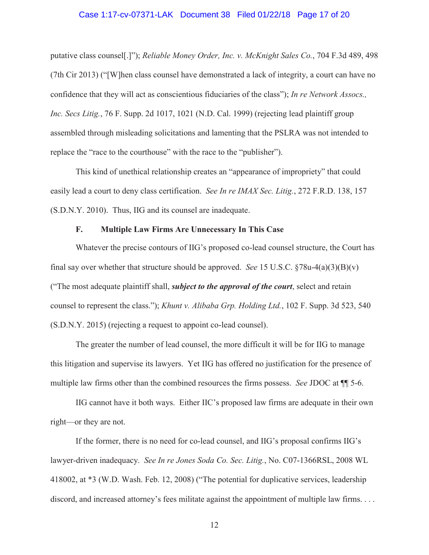### Case 1:17-cv-07371-LAK Document 38 Filed 01/22/18 Page 17 of 20

putative class counsel[.]"); *Reliable Money Order, Inc. v. McKnight Sales Co.*, 704 F.3d 489, 498 (7th Cir 2013) ("[W]hen class counsel have demonstrated a lack of integrity, a court can have no confidence that they will act as conscientious fiduciaries of the class"); *In re Network Assocs., Inc. Secs Litig.*, 76 F. Supp. 2d 1017, 1021 (N.D. Cal. 1999) (rejecting lead plaintiff group assembled through misleading solicitations and lamenting that the PSLRA was not intended to replace the "race to the courthouse" with the race to the "publisher").

This kind of unethical relationship creates an "appearance of impropriety" that could easily lead a court to deny class certification. *See In re IMAX Sec. Litig.*, 272 F.R.D. 138, 157 (S.D.N.Y. 2010). Thus, IIG and its counsel are inadequate.

# **F. Multiple Law Firms Are Unnecessary In This Case**

Whatever the precise contours of IIG's proposed co-lead counsel structure, the Court has final say over whether that structure should be approved. *See* 15 U.S.C. §78u-4(a)(3)(B)(v) ("The most adequate plaintiff shall, *subject to the approval of the court*, select and retain counsel to represent the class."); *Khunt v. Alibaba Grp. Holding Ltd.*, 102 F. Supp. 3d 523, 540 (S.D.N.Y. 2015) (rejecting a request to appoint co-lead counsel).

The greater the number of lead counsel, the more difficult it will be for IIG to manage this litigation and supervise its lawyers. Yet IIG has offered no justification for the presence of multiple law firms other than the combined resources the firms possess. *See* JDOC at ¶¶ 5-6.

IIG cannot have it both ways. Either IIC's proposed law firms are adequate in their own right—or they are not.

If the former, there is no need for co-lead counsel, and IIG's proposal confirms IIG's lawyer-driven inadequacy. *See In re Jones Soda Co. Sec. Litig.*, No. C07-1366RSL, 2008 WL 418002, at \*3 (W.D. Wash. Feb. 12, 2008) ("The potential for duplicative services, leadership discord, and increased attorney's fees militate against the appointment of multiple law firms. . . .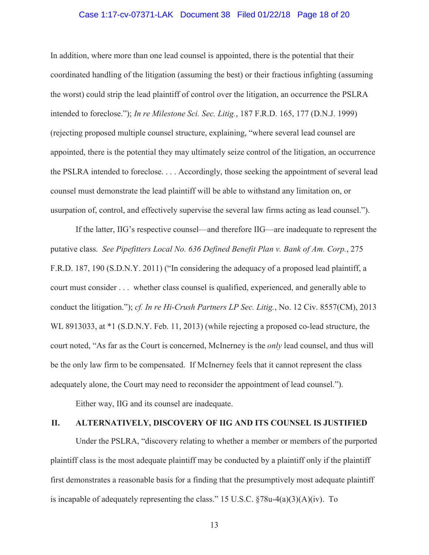## Case 1:17-cv-07371-LAK Document 38 Filed 01/22/18 Page 18 of 20

In addition, where more than one lead counsel is appointed, there is the potential that their coordinated handling of the litigation (assuming the best) or their fractious infighting (assuming the worst) could strip the lead plaintiff of control over the litigation, an occurrence the PSLRA intended to foreclose."); *In re Milestone Sci. Sec. Litig.*, 187 F.R.D. 165, 177 (D.N.J. 1999) (rejecting proposed multiple counsel structure, explaining, "where several lead counsel are appointed, there is the potential they may ultimately seize control of the litigation, an occurrence the PSLRA intended to foreclose. . . . Accordingly, those seeking the appointment of several lead counsel must demonstrate the lead plaintiff will be able to withstand any limitation on, or usurpation of, control, and effectively supervise the several law firms acting as lead counsel.").

If the latter, IIG's respective counsel—and therefore IIG—are inadequate to represent the putative class. *See Pipefitters Local No. 636 Defined Benefit Plan v. Bank of Am. Corp.*, 275 F.R.D. 187, 190 (S.D.N.Y. 2011) ("In considering the adequacy of a proposed lead plaintiff, a court must consider . . . whether class counsel is qualified, experienced, and generally able to conduct the litigation."); *cf. In re Hi-Crush Partners LP Sec. Litig.*, No. 12 Civ. 8557(CM), 2013 WL 8913033, at \*1 (S.D.N.Y. Feb. 11, 2013) (while rejecting a proposed co-lead structure, the court noted, "As far as the Court is concerned, McInerney is the *only* lead counsel, and thus will be the only law firm to be compensated. If McInerney feels that it cannot represent the class adequately alone, the Court may need to reconsider the appointment of lead counsel.").

Either way, IIG and its counsel are inadequate.

# **II. ALTERNATIVELY, DISCOVERY OF IIG AND ITS COUNSEL IS JUSTIFIED**

Under the PSLRA, "discovery relating to whether a member or members of the purported plaintiff class is the most adequate plaintiff may be conducted by a plaintiff only if the plaintiff first demonstrates a reasonable basis for a finding that the presumptively most adequate plaintiff is incapable of adequately representing the class." 15 U.S.C.  $\sqrt[5]{878u-4(a)(3)(A)(iv)}$ . To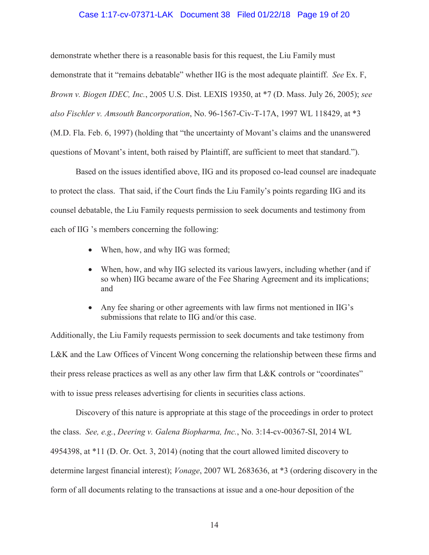# Case 1:17-cv-07371-LAK Document 38 Filed 01/22/18 Page 19 of 20

demonstrate whether there is a reasonable basis for this request, the Liu Family must demonstrate that it "remains debatable" whether IIG is the most adequate plaintiff. *See* Ex. F, *Brown v. Biogen IDEC, Inc.*, 2005 U.S. Dist. LEXIS 19350, at \*7 (D. Mass. July 26, 2005); *see also Fischler v. Amsouth Bancorporation*, No. 96-1567-Civ-T-17A, 1997 WL 118429, at \*3 (M.D. Fla. Feb. 6, 1997) (holding that "the uncertainty of Movant's claims and the unanswered questions of Movant's intent, both raised by Plaintiff, are sufficient to meet that standard.").

Based on the issues identified above, IIG and its proposed co-lead counsel are inadequate to protect the class. That said, if the Court finds the Liu Family's points regarding IIG and its counsel debatable, the Liu Family requests permission to seek documents and testimony from each of IIG 's members concerning the following:

- When, how, and why IIG was formed;
- When, how, and why IIG selected its various lawyers, including whether (and if so when) IIG became aware of the Fee Sharing Agreement and its implications; and
- Any fee sharing or other agreements with law firms not mentioned in  $\rm IIG's$ submissions that relate to IIG and/or this case.

Additionally, the Liu Family requests permission to seek documents and take testimony from L&K and the Law Offices of Vincent Wong concerning the relationship between these firms and their press release practices as well as any other law firm that L&K controls or "coordinates" with to issue press releases advertising for clients in securities class actions.

Discovery of this nature is appropriate at this stage of the proceedings in order to protect the class. *See, e.g.*, *Deering v. Galena Biopharma, Inc.*, No. 3:14-cv-00367-SI, 2014 WL 4954398, at \*11 (D. Or. Oct. 3, 2014) (noting that the court allowed limited discovery to determine largest financial interest); *Vonage*, 2007 WL 2683636, at \*3 (ordering discovery in the form of all documents relating to the transactions at issue and a one-hour deposition of the